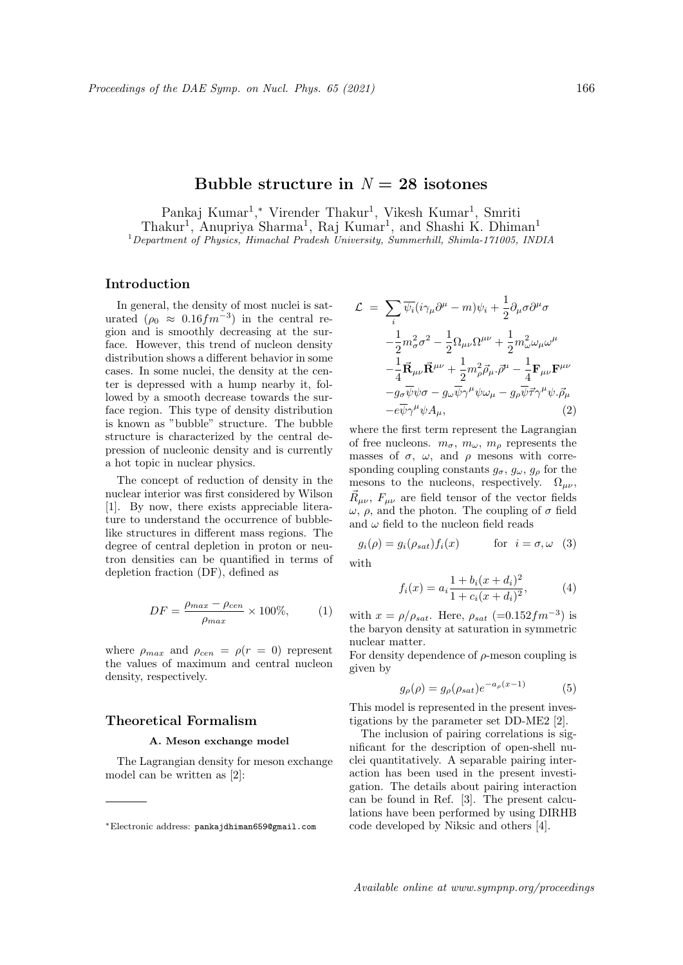# **Bubble structure in**  $N = 28$  isotones

Pankaj Kumar<sup>1</sup>,\* Virender Thakur<sup>1</sup>, Vikesh Kumar<sup>1</sup>, Smriti Thakur<sup>1</sup>, Anupriya Sharma<sup>1</sup>, Raj Kumar<sup>1</sup>, and Shashi K. Dhiman<sup>1</sup> <sup>1</sup>*Department of Physics, Himachal Pradesh University, Summerhill, Shimla-171005, INDIA*

# **Introduction**

In general, the density of most nuclei is saturated  $(\rho_0 \approx 0.16 fm^{-3})$  in the central region and is smoothly decreasing at the surface. However, this trend of nucleon density distribution shows a different behavior in some cases. In some nuclei, the density at the center is depressed with a hump nearby it, followed by a smooth decrease towards the surface region. This type of density distribution is known as "bubble" structure. The bubble structure is characterized by the central depression of nucleonic density and is currently a hot topic in nuclear physics.

The concept of reduction of density in the nuclear interior was first considered by Wilson [1]. By now, there exists appreciable literature to understand the occurrence of bubblelike structures in different mass regions. The degree of central depletion in proton or neutron densities can be quantified in terms of depletion fraction (DF), defined as

$$
DF = \frac{\rho_{max} - \rho_{cen}}{\rho_{max}} \times 100\%,\tag{1}
$$

where  $\rho_{max}$  and  $\rho_{cen} = \rho(r = 0)$  represent the values of maximum and central nucleon density, respectively.

## **Theoretical Formalism**

#### **A. Meson exchange model**

The Lagrangian density for meson exchange model can be written as [2]:

$$
\mathcal{L} = \sum_{i} \overline{\psi_{i}} (i\gamma_{\mu}\partial^{\mu} - m)\psi_{i} + \frac{1}{2}\partial_{\mu}\sigma\partial^{\mu}\sigma
$$

$$
-\frac{1}{2}m_{\sigma}^{2}\sigma^{2} - \frac{1}{2}\Omega_{\mu\nu}\Omega^{\mu\nu} + \frac{1}{2}m_{\omega}^{2}\omega_{\mu}\omega^{\mu}
$$

$$
-\frac{1}{4}\vec{\mathbf{R}}_{\mu\nu}\vec{\mathbf{R}}^{\mu\nu} + \frac{1}{2}m_{\rho}^{2}\vec{\rho}_{\mu}\cdot\vec{\rho}^{\mu} - \frac{1}{4}\mathbf{F}_{\mu\nu}\mathbf{F}^{\mu\nu}
$$

$$
-g_{\sigma}\overline{\psi}\psi\sigma - g_{\omega}\overline{\psi}\gamma^{\mu}\psi\omega_{\mu} - g_{\rho}\overline{\psi}\vec{\tau}\gamma^{\mu}\psi\cdot\vec{\rho}_{\mu}
$$

$$
-e\overline{\psi}\gamma^{\mu}\psi A_{\mu}, \qquad (2)
$$

where the first term represent the Lagrangian of free nucleons.  $m_{\sigma}$ ,  $m_{\omega}$ ,  $m_{\rho}$  represents the masses of  $\sigma$ ,  $\omega$ , and  $\rho$  mesons with corresponding coupling constants  $g_{\sigma}$ ,  $g_{\omega}$ ,  $g_{\rho}$  for the mesons to the nucleons, respectively.  $\Omega_{\mu\nu},$  $\vec{R}_{\mu\nu}$ ,  $F_{\mu\nu}$  are field tensor of the vector fields *ω*, *ρ*, and the photon. The coupling of *σ* field and  $\omega$  field to the nucleon field reads

$$
g_i(\rho) = g_i(\rho_{sat}) f_i(x) \qquad \text{for } i = \sigma, \omega \quad (3)
$$

with

$$
f_i(x) = a_i \frac{1 + b_i(x + d_i)^2}{1 + c_i(x + d_i)^2},
$$
 (4)

with  $x = \rho/\rho_{sat}$ . Here,  $\rho_{sat}$  (=0.152 $fm^{-3}$ ) is the baryon density at saturation in symmetric nuclear matter.

For density dependence of *ρ*-meson coupling is given by

$$
g_{\rho}(\rho) = g_{\rho}(\rho_{sat})e^{-a_{\rho}(x-1)} \tag{5}
$$

This model is represented in the present investigations by the parameter set DD-ME2 [2].

The inclusion of pairing correlations is significant for the description of open-shell nuclei quantitatively. A separable pairing interaction has been used in the present investigation. The details about pairing interaction can be found in Ref. [3]. The present calculations have been performed by using DIRHB code developed by Niksic and others [4].

*<sup>∗</sup>*Electronic address: pankajdhiman659@gmail.com